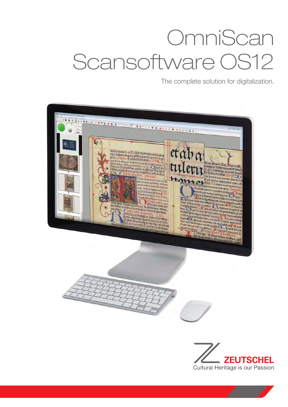# **OmniScan** Scansoftware OS12

The complete solution for digitalization.



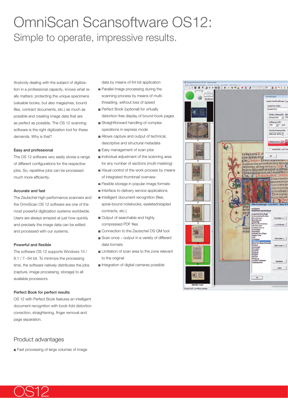# OmniScan Scansoftware OS12: Simple to operate, impressive results.

Anybody dealing with the subject of digitization in a professional capacity, knows what really matters: protecting the unique specimens (valuable books, but also magazines, bound files, contract documents, etc.) as much as possible and creating image data that are as perfect as possible. The OS 12 scanning software is the right digitization tool for these demands. Why is that?

#### Easy and professional

The OS 12 software very easily stores a range of different configurations for the respective jobs. So, repetitive jobs can be processed much more efficiently.

#### Accurate and fast

The Zeutschel high-performance scanners and the OmniScan OS 12 software are one of the most powerful digitization systems worldwide. Users are always amazed at just how quickly and precisely the image data can be edited and processed with our systems.

#### Powerful and flexible

The software OS 12 supports Windows 10 / 8.1 / 7–64 bit. To minimize the processing time, the software natively distributes the jobs (capture, image processing, storage) to all available processors.

#### Perfect Book for perfect results

OS 12 with Perfect Book features an intelligent document recognition with book-fold distortion correction, straightening, finger removal and page separation.

### Product advantages

Fast processing of large volumes of image

data by means of 64-bit application

- Parallel image processing during the scanning process by means of multithreading, without loss of speed
- Perfect Book (optional) for virtually distortion-free display of bound book pages
- Straightforward handling of complex operations in express mode
- Allows capture and output of technical, descriptive and structural metadata
- Easy management of scan jobs
- Individual adjustment of the scanning area for any number of sections (multi-masking)
- Visual control of the work process by means of integrated thumbnail overview
- Flexible storage in popular image formats
- Interface to delivery service applications
- Intelligent document recognition (files,
- spiral-bound notebooks, eyeleted/stapled contracts, etc.)
- Output of searchable and highly compressed PDF files
- Connection to the Zeutschel OS QM tool
- Scan once output in a variety of different data formats
- **Limitation of scan area to the zone relevant** to the original
- Integration of digital cameras possible



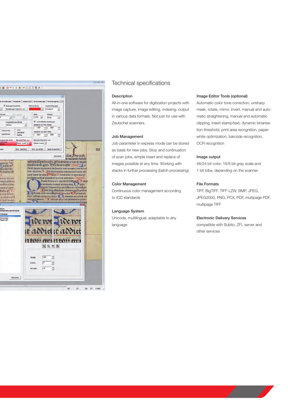

## Technical specifications

#### **Description**

All-in-one software for digitization projects with image capture, image editing, indexing, output in various data formats. Not just for use with Zeutschel scanners.

#### Job Management

Job parameter in express mode can be stored as basis for new jobs. Stop and continuation of scan jobs, simple insert and replace of images possible at any time. Working with stacks in further processing (batch processing).

#### Color Management

Continuous color management according to ICC standards

#### Language System

Unicode, multilingual, adaptable to any language

#### Image Editor Tools (optional)

Automatic color tone correction, unsharp mask, rotate, mirror, invert, manual and automatic straightening, manual and automatic clipping, insert stamp/text, dynamic binarisation threshold, print area recognition, paperwhite optimization, barcode recognition, OCR recognition

#### Image output

48/24 bit color, 16/8 bit gray scale and 1 bit b&w, depending on the scanner

#### File Formats

TIFF, BigTIFF, TIFF-LZW, BMP, JPEG, JPEG2000, PNG, PCX, PDF, multipage PDF, multipage TIFF

#### Electronic Delivery Services

compatible with Subito, ZFL server and other services